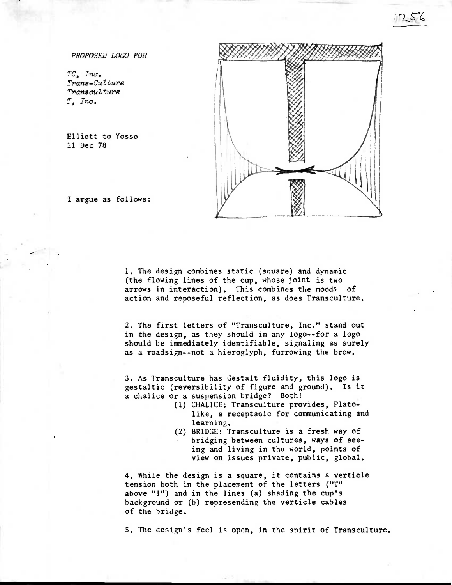PROPOSED LOGO FOR

TC, Inc. Trana-CuZture Tranaculture T, Inc.

**Elliott to Yosso 11 Dec 78** 



**I argue as follows:** 

**1. The design combines static (square) and dynamic (the flowing lines of the cup, whose joint is two arrows in interaction). This combines the moods of action and reposeful reflection, as does Transculture.** 

**2. The first letters of "Transculture, Inc." stand out in the design, as they should in any logo--for a logo should be immediately identifiable, signaling as surely as a roadsign--not a hieroglyph, furrowing the brow.** 

**3. As Transculture has Gestalt fluidity, this logo is gestaltic (reversibility of figure and ground). Is it a chalice or a suspension bridge? Both!** 

- **(1) CHALICE: Transculture provides, Platolike, a receptacle for communicating and learning.**
- **(2) BRIDGE: Transculture is a fresh way of bridging between cultures, ways of seeing and living in the world, points of view on issues private, public, global.**

**4. While the design is a square, it contains a verticle tension both in the placement of the letters ("T" above "I") and in the lines (a) shading the cup's background or (b) represending the verticle cables of the bridge.** 

**5. The design's feel is open, in the spirit of Transculture.**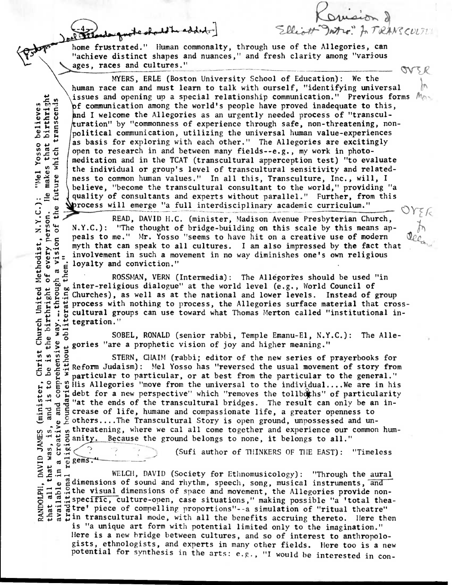Stlandauguste should be added.

**home frustrated." Human commonalty, through use of the Allegories, can "achieve distinct shapes and nuances," and fresh clarity among "various .s>ages, races and cultures."** 

Elliott Intro. for TRANSCUTT

**es and cultures."**<br> **MYERS, ERLE (Boston University School of Education): We the human race can and must learn to talk with ourself, "identifying universal**  issues and opening up a special relationship communication." Previous forms  $M_{\odot}$ **f communication among the world's people have proved inadequate to this, nd I welcome the Allegories as an urgently needed process of "transculuration" by "commonness of experience through safe, non-threatening, nonpolitical communication, utilizing the universal human value-experiences as basis for exploring with each other." The Allegories are excitingly open to research in and between many fields--e.g., my work in photomeditation and in the TCAT (transcultural apperception test) "to evaluate the individual or group's level of transcultural sensitivity and relatedness to common human values." In all this, Transculture, Inc., will, I believe, "become the transcultural consultant to the world," providing "a quality of consultants and experts without parallel." Further, from this rocess will emerge "a full interdisciplinary academic curriculum." • <sup>0</sup>\_** 

**Particular Pressure Presbyterian Church,** READ, DAVID H.C. (minister, Madison Avenue Presbyterian Church,  $N.Y.C.$ ): "The thought of bridge-building on this scale by this means ap **'The thought of bridge-building on this scale by this means ap-• peals to me."** Mr. Yosso "seems to have hit on a creative use of modern  $\overline{6}$  myth that can speak to all cultures. I am also impressed by the fact t **0.9** myth that can speak to all cultures. I am also impressed by the fact that  $\frac{10}{10}$  involvement in such a movement in no way diminishes one's own religious  $\frac{10}{10}$  is loyalty and conviction." involvement in such a movement in no way diminishes one's own religious loyalty and conviction."

*Methodist, N.Y.C.)***:**<br>of every person. He<br>th a vision of the fi a visi **ROSSMAN, VERN (Intermedia):** The Allegories should be used "in inter-religious dialogue" at the world level (e.g., World Council of 10 Churches), as well as at the national and lower levels. Instead of group  $\frac{11}{6}$  process with nothing to process, the Allegories surface material that cross cultural groups can use toward what Thomas Merton called "i process with nothing to process, the Allegories surface material that cross**i cultural groups can use toward what Thomas Merton called "institutional in-<br>**  $\frac{1}{6}$  **<b>cepration."**<br>
SOBEL, RONALD (senior rabbi, Temple Emanu-El, N.Y.C.): The Alle**t .14 tegration." 1.**birthright of way...through a

**0**  $\uparrow$  **6** SOBEL, RONALD (senior rabbi, Temple Emanu-El, N.Y.C.): The Alle-<br>  $\uparrow$  **2**  $\downarrow$  gories "are a prophetic vision of joy and higher meaning."

**gories "are a prophetic vision of joy and higher meaning."**<br> **STERN, CHAIM (rabbi; editor of the new series of**  $\frac{1}{12}$  **Reform Judaism):** Mel Yosso has "reversed the usual moveme" s to be is the **0 .0 STERN, CHAIM (rabbi; editor of the new series of prayerbooks for 14 Reform Judaism):** Mel Yosso has "reversed the usual movement of story from  $\frac{1}{2}$  **P F** narticular to particular or at best from the particular to the general." **particular to particular, or at best from the particular to the general." <sup>3</sup>:2** R.: His **Allegories "move from the universal to the individual....We are in his 8 is allegories** "move from the universal to the individual....We are in his <br> **6** is debt for a new perspective" which "removes the tollboths" of particularity<br> **8** is it the ends of the transcultural bridges. The result **1 <b>***A A A A A A A A A A A A A A A A A A A A A A A A A A A A A A A A A A A A A*  $\tilde{\vec{e}}$  g crease of life, humane and compassionate life, a greater openness to  **0others....The Transcultural Story is open ground, unpossessed and unt.t.-!' 4.'** ganit **. Because the ground belongs to none, it belongs to all."** 

4.# m **VI b.!" ••••** 

**elieve**<br> **irthr** 

**0**   $\frac{1}{2}$   $\frac{1}{2}$   $\frac{1}{2}$ **4-1**  .. <u>ឌ</u> ដ

**.0 .0 4.)** 

**0 o <sup>C</sup> .0 tn .0 C.)** 

**>" • 0)** 

Christ Church United

**-.5'**

**• <sup>0</sup>0 0 (Sufi author of 111INKERS OF THE EAST): "Timeless** 

**to vertice the visual come together and experience our common hum-**<br> **to vertice vertice** of count belongs to none, it belongs to all."<br> **to vertice of COVICI**, DAVID (Society for Ethnomusicology): "Through the aural<br>  $\frac$ that was,<br>
in a created<br>
in a religions.<sup>1</sup> **> 1.4 a 0 0 WELCH, DAVID (Society for Ethnomusicology): "Through the aural Vimensions of sound and rhythm, speech, song, musical instruments, and**   $\pmb{\omega}$ The visual dimensions of space and movement, the Allegories provide non-<br>
and the visual dimensions of space and movement, the Allegories provide non-<br>
digital thea-<br>
digital their piece of compelling proportions"--a simul **E7.21.2the visual dimensions of space and movement, the Allegories provide non-**  We are the meaning proportions"--a simulation of "ritual theatre"<br> **g**  $\frac{1}{n}$  in transcultural mode, with all the benefits accruing thereto. Here then

**is "a unique art form with potential limited only to the imagination." Here is a new bridge between cultures, and so of interest to anthropologists, ethnologists, and experts in many other fields. Here too is a new potential for synthesis in the arts: e.g., "I would be interested in con-**